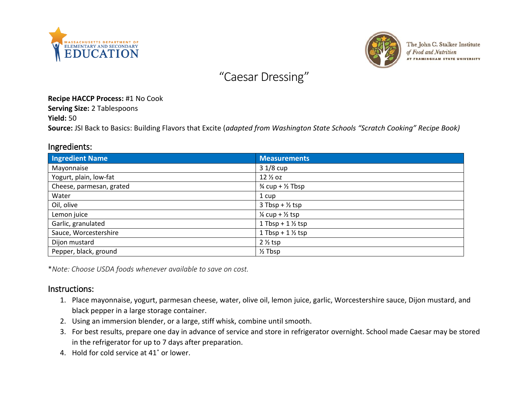



The John C. Stalker Institute of Food and Nutrition AT FRAMINGHAM STATE UNIVERSITY

# "Caesar Dressing"

#### **Recipe HACCP Process:** #1 No Cook

**Serving Size:** 2 Tablespoons

**Yield:** 50

**Source:** JSI Back to Basics: Building Flavors that Excite (*adapted from Washington State Schools "Scratch Cooking" Recipe Book)*

### Ingredients:

| <b>Ingredient Name</b>   | <b>Measurements</b>                    |
|--------------------------|----------------------------------------|
| Mayonnaise               | $31/8$ cup                             |
| Yogurt, plain, low-fat   | 12 <sup>/2</sup> oz                    |
| Cheese, parmesan, grated | $\frac{3}{4}$ cup + $\frac{1}{2}$ Tbsp |
| Water                    | 1 cup                                  |
| Oil, olive               | $3$ Tbsp + $\frac{1}{2}$ tsp           |
| Lemon juice              | $\frac{1}{4}$ cup + $\frac{1}{2}$ tsp  |
| Garlic, granulated       | 1 Tbsp + $1\frac{1}{2}$ tsp            |
| Sauce, Worcestershire    | 1 Tbsp + $1\frac{1}{2}$ tsp            |
| Dijon mustard            | $2\frac{1}{2}$ tsp                     |
| Pepper, black, ground    | $\frac{1}{2}$ Tbsp                     |

\**Note: Choose USDA foods whenever available to save on cost.*

#### Instructions:

- 1. Place mayonnaise, yogurt, parmesan cheese, water, olive oil, lemon juice, garlic, Worcestershire sauce, Dijon mustard, and black pepper in a large storage container.
- 2. Using an immersion blender, or a large, stiff whisk, combine until smooth.
- 3. For best results, prepare one day in advance of service and store in refrigerator overnight. School made Caesar may be stored in the refrigerator for up to 7 days after preparation.
- 4. Hold for cold service at 41˚ or lower.